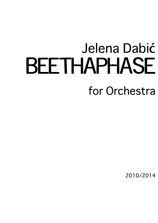## Jelena Dabić BEETHAPHASE for Orchestra

2010/2014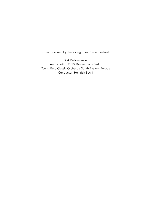Commissioned by the Young Euro Classic Festival

First Performance: August 6th, 2010, Konzerthaus Berlin Young Euro Classic Orchestra South Eastern Europe Conductor: Heinrich Schiff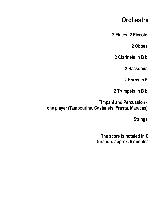## **Orchestra**

**2 Flutes (2.Piccolo)**

**2 Oboes**

**2 Clarinets in B b**

**2 Bassoons**

**2 Horns in F**

**2 Trumpets in B b**

**Timpani and Percussion one player (Tambourine, Castanets, Frusta, Maracas)**

**Strings**

**The score is notated in C Duration: approx. 6 minutes**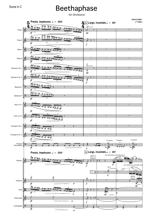Score in C

## Beethaphase

for Orchestra **comparator and the comparator** 

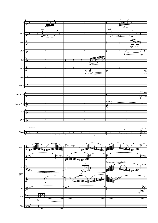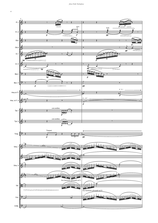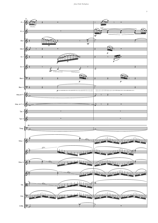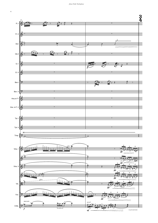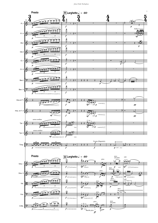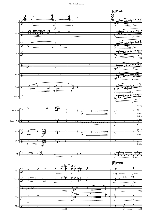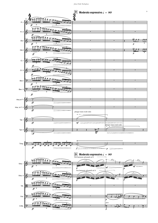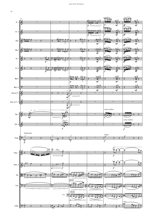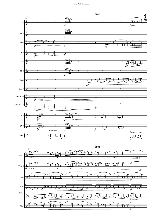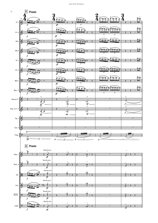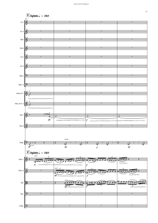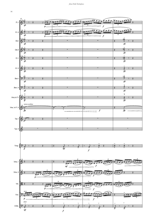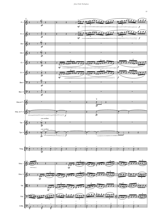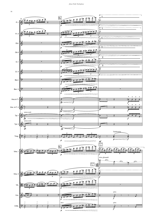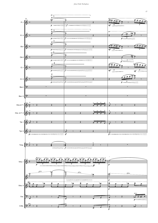

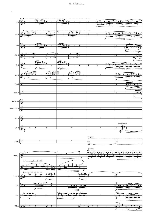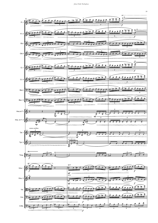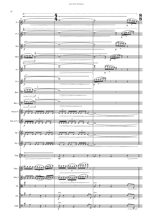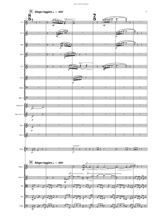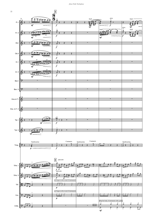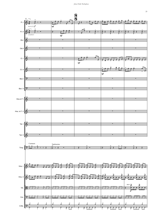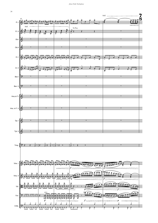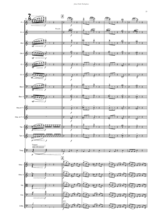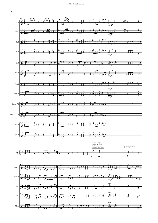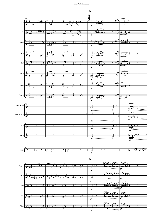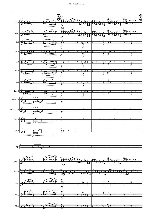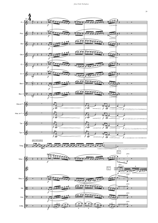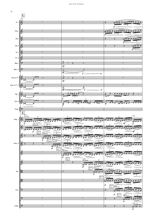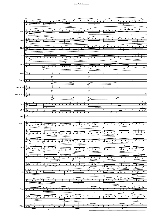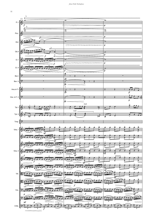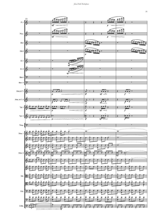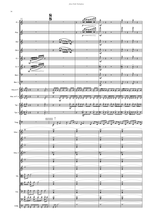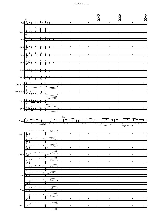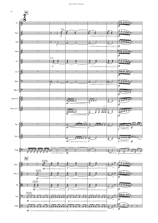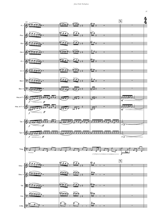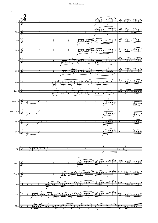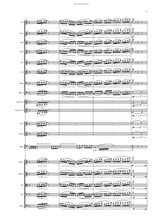